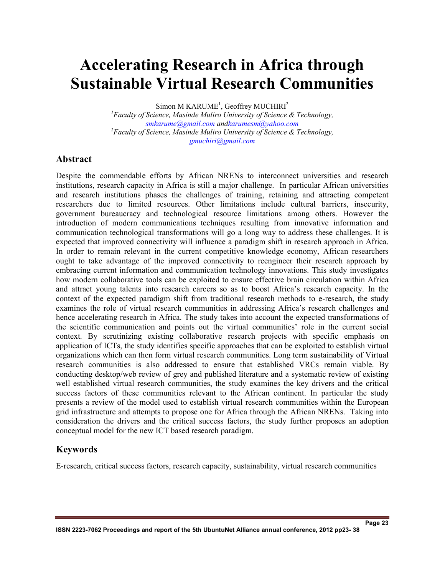# **Accelerating Research in Africa through Sustainable Virtual Research Communities**

Simon M KARUME<sup>1</sup>, Geoffrey MUCHIRI<sup>2</sup>

*<sup>1</sup>Faculty of Science, Masinde Muliro University of Science & Technology, smkarume@gmail.com andkarumesm@yahoo.com <sup>2</sup>Faculty of Science, Masinde Muliro University of Science & Technology, gmuchiri@gmail.com*

#### **Abstract**

Despite the commendable efforts by African NRENs to interconnect universities and research institutions, research capacity in Africa is still a major challenge. In particular African universities and research institutions phases the challenges of training, retaining and attracting competent researchers due to limited resources. Other limitations include cultural barriers, insecurity, government bureaucracy and technological resource limitations among others. However the introduction of modern communications techniques resulting from innovative information and communication technological transformations will go a long way to address these challenges. It is expected that improved connectivity will influence a paradigm shift in research approach in Africa. In order to remain relevant in the current competitive knowledge economy, African researchers ought to take advantage of the improved connectivity to reengineer their research approach by embracing current information and communication technology innovations. This study investigates how modern collaborative tools can be exploited to ensure effective brain circulation within Africa and attract young talents into research careers so as to boost Africa's research capacity. In the context of the expected paradigm shift from traditional research methods to e-research, the study examines the role of virtual research communities in addressing Africa's research challenges and hence accelerating research in Africa. The study takes into account the expected transformations of the scientific communication and points out the virtual communities' role in the current social context. By scrutinizing existing collaborative research projects with specific emphasis on application of ICTs, the study identifies specific approaches that can be exploited to establish virtual organizations which can then form virtual research communities. Long term sustainability of Virtual research communities is also addressed to ensure that established VRCs remain viable. By conducting desktop/web review of grey and published literature and a systematic review of existing well established virtual research communities, the study examines the key drivers and the critical success factors of these communities relevant to the African continent. In particular the study presents a review of the model used to establish virtual research communities within the European grid infrastructure and attempts to propose one for Africa through the African NRENs. Taking into consideration the drivers and the critical success factors, the study further proposes an adoption conceptual model for the new ICT based research paradigm.

## **Keywords**

E-research, critical success factors, research capacity, sustainability, virtual research communities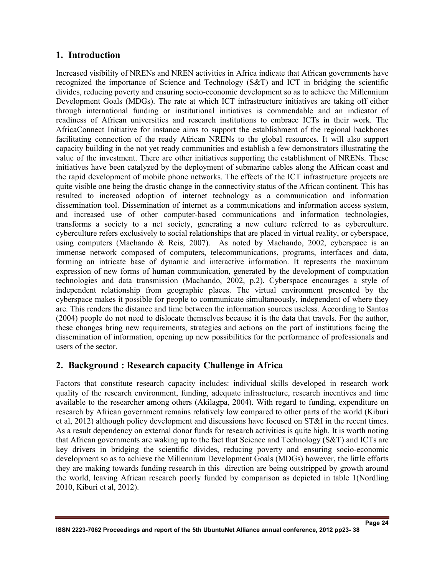## **1. Introduction**

Increased visibility of NRENs and NREN activities in Africa indicate that African governments have recognized the importance of Science and Technology (S&T) and ICT in bridging the scientific divides, reducing poverty and ensuring socio-economic development so as to achieve the Millennium Development Goals (MDGs). The rate at which ICT infrastructure initiatives are taking off either through international funding or institutional initiatives is commendable and an indicator of readiness of African universities and research institutions to embrace ICTs in their work. The AfricaConnect Initiative for instance aims to support the establishment of the regional backbones facilitating connection of the ready African NRENs to the global resources. It will also support capacity building in the not yet ready communities and establish a few demonstrators illustrating the value of the investment. There are other initiatives supporting the establishment of NRENs. These initiatives have been catalyzed by the deployment of submarine cables along the African coast and the rapid development of mobile phone networks. The effects of the ICT infrastructure projects are quite visible one being the drastic change in the connectivity status of the African continent. This has resulted to increased adoption of internet technology as a communication and information dissemination tool. Dissemination of internet as a communications and information access system, and increased use of other computer-based communications and information technologies, transforms a society to a net society, generating a new culture referred to as cyberculture. cyberculture refers exclusively to social relationships that are placed in virtual reality, or cyberspace, using computers (Machando & Reis, 2007). As noted by Machando, 2002, cyberspace is an immense network composed of computers, telecommunications, programs, interfaces and data, forming an intricate base of dynamic and interactive information. It represents the maximum expression of new forms of human communication, generated by the development of computation technologies and data transmission (Machando, 2002, p.2). Cyberspace encourages a style of independent relationship from geographic places. The virtual environment presented by the cyberspace makes it possible for people to communicate simultaneously, independent of where they are. This renders the distance and time between the information sources useless. According to Santos (2004) people do not need to dislocate themselves because it is the data that travels. For the author, these changes bring new requirements, strategies and actions on the part of institutions facing the dissemination of information, opening up new possibilities for the performance of professionals and users of the sector.

## **2. Background : Research capacity Challenge in Africa**

Factors that constitute research capacity includes: individual skills developed in research work quality of the research environment, funding, adequate infrastructure, research incentives and time available to the researcher among others (Akilagpa, 2004). With regard to funding, expenditure on research by African government remains relatively low compared to other parts of the world (Kiburi et al, 2012) although policy development and discussions have focused on ST&I in the recent times. As a result dependency on external donor funds for research activities is quite high. It is worth noting that African governments are waking up to the fact that Science and Technology (S&T) and ICTs are key drivers in bridging the scientific divides, reducing poverty and ensuring socio-economic development so as to achieve the Millennium Development Goals (MDGs) however, the little efforts they are making towards funding research in this direction are being outstripped by growth around the world, leaving African research poorly funded by comparison as depicted in table 1(Nordling 2010, Kiburi et al, 2012).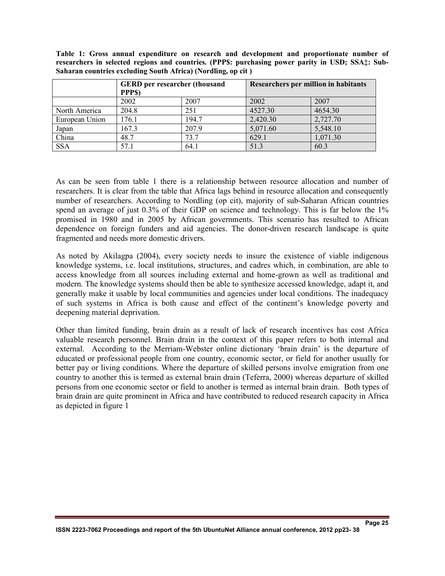**Table 1: Gross annual expenditure on research and development and proportionate number of researchers in selected regions and countries. (PPP\$: purchasing power parity in USD; SSA‡: Sub-Saharan countries excluding South Africa) (Nordling, op cit )** 

|                | PPP\$) | <b>GERD</b> per researcher (thousand<br>Researchers per million in habitants |          |          |
|----------------|--------|------------------------------------------------------------------------------|----------|----------|
|                | 2002   | 2007                                                                         | 2002     | 2007     |
| North America  | 204.8  | 251                                                                          | 4527.30  | 4654.30  |
| European Union | 176.1  | 194.7                                                                        | 2,420.30 | 2,727.70 |
| Japan          | 167.3  | 207.9                                                                        | 5,071.60 | 5,548.10 |
| China          | 48.7   | 73.7                                                                         | 629.1    | 1,071.30 |
| <b>SSA</b>     | 57.1   | 64.1                                                                         | 51.3     | 60.3     |

As can be seen from table 1 there is a relationship between resource allocation and number of researchers. It is clear from the table that Africa lags behind in resource allocation and consequently number of researchers. According to Nordling (op cit), majority of sub-Saharan African countries spend an average of just 0.3% of their GDP on science and technology. This is far below the 1% promised in 1980 and in 2005 by African governments. This scenario has resulted to African dependence on foreign funders and aid agencies. The donor-driven research landscape is quite fragmented and needs more domestic drivers.

As noted by Akilagpa (2004), every society needs to insure the existence of viable indigenous knowledge systems, i.e. local institutions, structures, and cadres which, in combination, are able to access knowledge from all sources including external and home-grown as well as traditional and modern. The knowledge systems should then be able to synthesize accessed knowledge, adapt it, and generally make it usable by local communities and agencies under local conditions. The inadequacy of such systems in Africa is both cause and effect of the continent's knowledge poverty and deepening material deprivation.

Other than limited funding, brain drain as a result of lack of research incentives has cost Africa valuable research personnel. Brain drain in the context of this paper refers to both internal and external. According to the Merriam-Webster online dictionary 'brain drain' is the departure of educated or professional people from one country, economic sector, or field for another usually for better pay or living conditions. Where the departure of skilled persons involve emigration from one country to another this is termed as external brain drain (Teferra, 2000) whereas departure of skilled persons from one economic sector or field to another is termed as internal brain drain. Both types of brain drain are quite prominent in Africa and have contributed to reduced research capacity in Africa as depicted in figure 1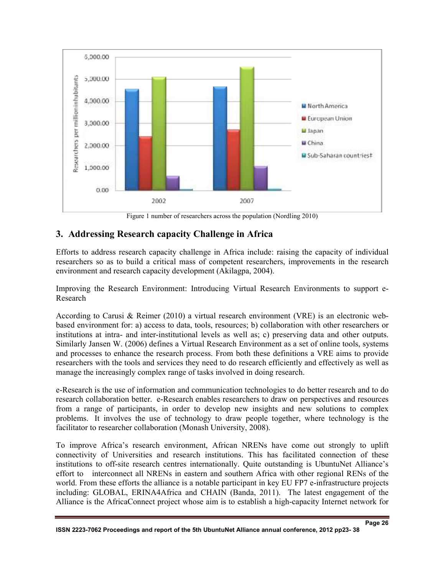

Figure 1 number of researchers across the population (Nordling 2010)

## **3. Addressing Research capacity Challenge in Africa**

Efforts to address research capacity challenge in Africa include: raising the capacity of individual researchers so as to build a critical mass of competent researchers, improvements in the research environment and research capacity development (Akilagpa, 2004).

Improving the Research Environment: Introducing Virtual Research Environments to support e-Research

According to Carusi & Reimer (2010) a virtual research environment (VRE) is an electronic webbased environment for: a) access to data, tools, resources; b) collaboration with other researchers or institutions at intra- and inter-institutional levels as well as; c) preserving data and other outputs. Similarly Jansen W. (2006) defines a Virtual Research Environment as a set of online tools, systems and processes to enhance the research process. From both these definitions a VRE aims to provide researchers with the tools and services they need to do research efficiently and effectively as well as manage the increasingly complex range of tasks involved in doing research.

e-Research is the use of information and communication technologies to do better research and to do research collaboration better. e-Research enables researchers to draw on perspectives and resources from a range of participants, in order to develop new insights and new solutions to complex problems. It involves the use of technology to draw people together, where technology is the facilitator to researcher collaboration (Monash University, 2008).

To improve Africa's research environment, African NRENs have come out strongly to uplift connectivity of Universities and research institutions. This has facilitated connection of these institutions to off-site research centres internationally. Quite outstanding is UbuntuNet Alliance's effort to interconnect all NRENs in eastern and southern Africa with other regional RENs of the world. From these efforts the alliance is a notable participant in key EU FP7 e-infrastructure projects including: GLOBAL, ERINA4Africa and CHAIN (Banda, 2011). The latest engagement of the Alliance is the AfricaConnect project whose aim is to establish a high-capacity Internet network for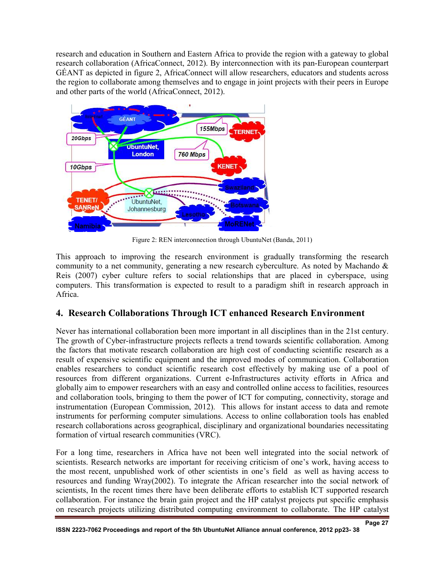research and education in Southern and Eastern Africa to provide the region with a gateway to global research collaboration (AfricaConnect, 2012). By interconnection with its pan-European counterpart GÉANT as depicted in figure 2, AfricaConnect will allow researchers, educators and students across the region to collaborate among themselves and to engage in joint projects with their peers in Europe and other parts of the world (AfricaConnect, 2012).



Figure 2: REN interconnection through UbuntuNet (Banda, 2011)

This approach to improving the research environment is gradually transforming the research community to a net community, generating a new research cyberculture. As noted by Machando  $\&$ Reis (2007) cyber culture refers to social relationships that are placed in cyberspace, using computers. This transformation is expected to result to a paradigm shift in research approach in Africa.

## **4. Research Collaborations Through ICT enhanced Research Environment**

Never has international collaboration been more important in all disciplines than in the 21st century. The growth of Cyber-infrastructure projects reflects a trend towards scientific collaboration. Among the factors that motivate research collaboration are high cost of conducting scientific research as a result of expensive scientific equipment and the improved modes of communication. Collaboration enables researchers to conduct scientific research cost effectively by making use of a pool of resources from different organizations. Current e-Infrastructures activity efforts in Africa and globally aim to empower researchers with an easy and controlled online access to facilities, resources and collaboration tools, bringing to them the power of ICT for computing, connectivity, storage and instrumentation (European Commission, 2012). This allows for instant access to data and remote instruments for performing computer simulations. Access to online collaboration tools has enabled research collaborations across geographical, disciplinary and organizational boundaries necessitating formation of virtual research communities (VRC).

For a long time, researchers in Africa have not been well integrated into the social network of scientists. Research networks are important for receiving criticism of one's work, having access to the most recent, unpublished work of other scientists in one's field as well as having access to resources and funding Wray(2002). To integrate the African researcher into the social network of scientists, In the recent times there have been deliberate efforts to establish ICT supported research collaboration. For instance the brain gain project and the HP catalyst projects put specific emphasis on research projects utilizing distributed computing environment to collaborate. The HP catalyst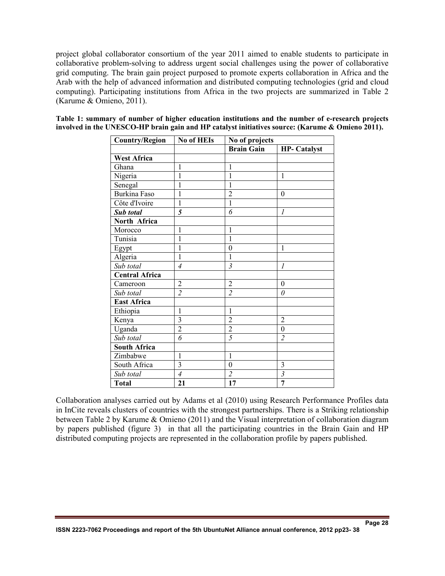project global collaborator consortium of the year 2011 aimed to enable students to participate in collaborative problem-solving to address urgent social challenges using the power of collaborative grid computing. The brain gain project purposed to promote experts collaboration in Africa and the Arab with the help of advanced information and distributed computing technologies (grid and cloud computing). Participating institutions from Africa in the two projects are summarized in Table 2 (Karume & Omieno, 2011).

| <b>Country/Region</b> | <b>No of HEIs</b> | No of projects    |                     |  |
|-----------------------|-------------------|-------------------|---------------------|--|
|                       |                   | <b>Brain Gain</b> | <b>HP-</b> Catalyst |  |
| <b>West Africa</b>    |                   |                   |                     |  |
| Ghana                 | $\mathbf{1}$      | $\mathbf{1}$      |                     |  |
| Nigeria               | 1                 | 1                 | 1                   |  |
| Senegal               | $\mathbf{1}$      | 1                 |                     |  |
| <b>Burkina Faso</b>   | $\overline{1}$    | $\overline{2}$    | $\theta$            |  |
| Côte d'Ivoire         | 1                 | $\mathbf{1}$      |                     |  |
| Sub total             | 5                 | 6                 | $\mathcal I$        |  |
| North Africa          |                   |                   |                     |  |
| Morocco               | 1                 | 1                 |                     |  |
| Tunisia               | $\mathbf{1}$      | 1                 |                     |  |
| Egypt                 | $\overline{1}$    | $\overline{0}$    | 1                   |  |
| Algeria               | 1                 | 1                 |                     |  |
| Sub total             | $\overline{4}$    | 3                 | 1                   |  |
| <b>Central Africa</b> |                   |                   |                     |  |
| Cameroon              | $\overline{c}$    | $\overline{2}$    | $\theta$            |  |
| Sub total             | $\overline{2}$    | $\overline{2}$    | 0                   |  |
| <b>East Africa</b>    |                   |                   |                     |  |
| Ethiopia              | 1                 | 1                 |                     |  |
| Kenya                 | 3                 | $\overline{2}$    | $\overline{2}$      |  |
| Uganda                | $\overline{2}$    | $\overline{2}$    | $\overline{0}$      |  |
| Sub total             | 6                 | $\overline{5}$    | $\overline{2}$      |  |
| <b>South Africa</b>   |                   |                   |                     |  |
| Zimbabwe              | $\mathbf{1}$      | $\mathbf{1}$      |                     |  |
| South Africa          | $\overline{3}$    | $\boldsymbol{0}$  | 3                   |  |
| Sub total             | $\overline{4}$    | $\overline{2}$    | 3                   |  |
| <b>Total</b>          | 21                | 17                | $\overline{7}$      |  |

**Table 1: summary of number of higher education institutions and the number of e-research projects involved in the UNESCO-HP brain gain and HP catalyst initiatives source: (Karume & Omieno 2011).** 

Collaboration analyses carried out by Adams et al (2010) using Research Performance Profiles data in InCite reveals clusters of countries with the strongest partnerships. There is a Striking relationship between Table 2 by Karume & Omieno (2011) and the Visual interpretation of collaboration diagram by papers published (figure 3) in that all the participating countries in the Brain Gain and HP distributed computing projects are represented in the collaboration profile by papers published.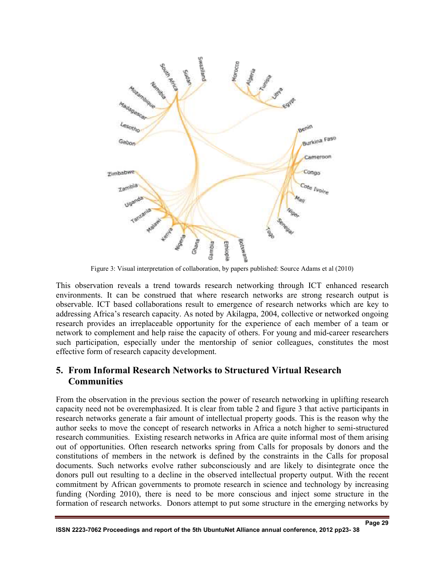

Figure 3: Visual interpretation of collaboration, by papers published: Source Adams et al (2010)

This observation reveals a trend towards research networking through ICT enhanced research environments. It can be construed that where research networks are strong research output is observable. ICT based collaborations result to emergence of research networks which are key to addressing Africa's research capacity. As noted by Akilagpa, 2004, collective or networked ongoing research provides an irreplaceable opportunity for the experience of each member of a team or network to complement and help raise the capacity of others. For young and mid-career researchers such participation, especially under the mentorship of senior colleagues, constitutes the most effective form of research capacity development.

#### **5. From Informal Research Networks to Structured Virtual Research Communities**

From the observation in the previous section the power of research networking in uplifting research capacity need not be overemphasized. It is clear from table 2 and figure 3 that active participants in research networks generate a fair amount of intellectual property goods. This is the reason why the author seeks to move the concept of research networks in Africa a notch higher to semi-structured research communities. Existing research networks in Africa are quite informal most of them arising out of opportunities. Often research networks spring from Calls for proposals by donors and the constitutions of members in the network is defined by the constraints in the Calls for proposal documents. Such networks evolve rather subconsciously and are likely to disintegrate once the donors pull out resulting to a decline in the observed intellectual property output. With the recent commitment by African governments to promote research in science and technology by increasing funding (Nording 2010), there is need to be more conscious and inject some structure in the formation of research networks. Donors attempt to put some structure in the emerging networks by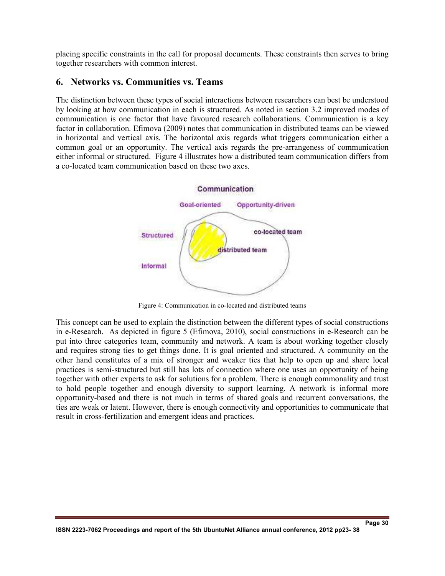placing specific constraints in the call for proposal documents. These constraints then serves to bring together researchers with common interest.

#### **6. Networks vs. Communities vs. Teams**

The distinction between these types of social interactions between researchers can best be understood by looking at how communication in each is structured. As noted in section 3.2 improved modes of communication is one factor that have favoured research collaborations. Communication is a key factor in collaboration. Efimova (2009) notes that communication in distributed teams can be viewed in horizontal and vertical axis. The horizontal axis regards what triggers communication either a common goal or an opportunity. The vertical axis regards the pre-arrangeness of communication either informal or structured. Figure 4 illustrates how a distributed team communication differs from a co-located team communication based on these two axes.



Figure 4: Communication in co-located and distributed teams

This concept can be used to explain the distinction between the different types of social constructions in e-Research. As depicted in figure 5 (Efimova, 2010), social constructions in e-Research can be put into three categories team, community and network. A team is about working together closely and requires strong ties to get things done. It is goal oriented and structured. A community on the other hand constitutes of a mix of stronger and weaker ties that help to open up and share local practices is semi-structured but still has lots of connection where one uses an opportunity of being together with other experts to ask for solutions for a problem. There is enough commonality and trust to hold people together and enough diversity to support learning. A network is informal more opportunity-based and there is not much in terms of shared goals and recurrent conversations, the ties are weak or latent. However, there is enough connectivity and opportunities to communicate that result in cross-fertilization and emergent ideas and practices.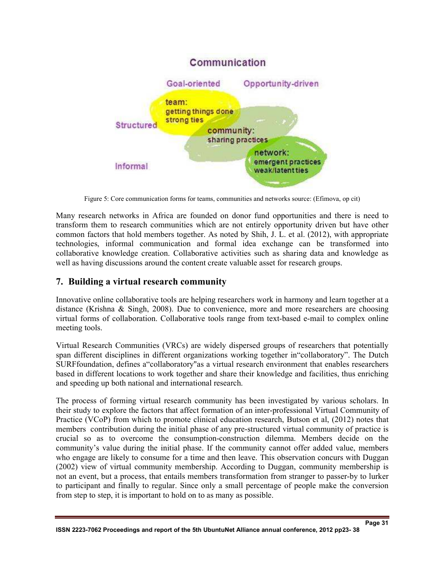

Figure 5: Core communication forms for teams, communities and networks source: (Efimova, op cit)

Many research networks in Africa are founded on donor fund opportunities and there is need to transform them to research communities which are not entirely opportunity driven but have other common factors that hold members together. As noted by Shih, J. L. et al. (2012), with appropriate technologies, informal communication and formal idea exchange can be transformed into collaborative knowledge creation. Collaborative activities such as sharing data and knowledge as well as having discussions around the content create valuable asset for research groups.

## **7. Building a virtual research community**

Innovative online collaborative tools are helping researchers work in harmony and learn together at a distance (Krishna & Singh, 2008). Due to convenience, more and more researchers are choosing virtual forms of collaboration. Collaborative tools range from text-based e-mail to complex online meeting tools.

Virtual Research Communities (VRCs) are widely dispersed groups of researchers that potentially span different disciplines in different organizations working together in"collaboratory". The Dutch SURFfoundation, defines a"collaboratory"as a virtual research environment that enables researchers based in different locations to work together and share their knowledge and facilities, thus enriching and speeding up both national and international research.

The process of forming virtual research community has been investigated by various scholars. In their study to explore the factors that affect formation of an inter-professional Virtual Community of Practice (VCoP) from which to promote clinical education research, Butson et al, (2012) notes that members contribution during the initial phase of any pre-structured virtual community of practice is crucial so as to overcome the consumption-construction dilemma. Members decide on the community's value during the initial phase. If the community cannot offer added value, members who engage are likely to consume for a time and then leave. This observation concurs with Duggan (2002) view of virtual community membership. According to Duggan, community membership is not an event, but a process, that entails members transformation from stranger to passer-by to lurker to participant and finally to regular. Since only a small percentage of people make the conversion from step to step, it is important to hold on to as many as possible.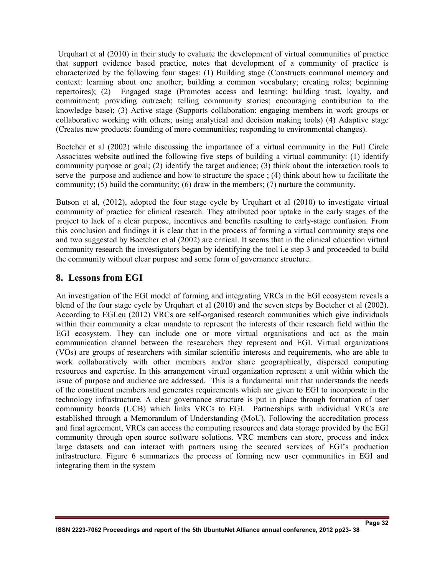Urquhart et al (2010) in their study to evaluate the development of virtual communities of practice that support evidence based practice, notes that development of a community of practice is characterized by the following four stages: (1) Building stage (Constructs communal memory and context: learning about one another; building a common vocabulary; creating roles; beginning repertoires); (2) Engaged stage (Promotes access and learning: building trust, loyalty, and commitment; providing outreach; telling community stories; encouraging contribution to the knowledge base); (3) Active stage (Supports collaboration: engaging members in work groups or collaborative working with others; using analytical and decision making tools) (4) Adaptive stage (Creates new products: founding of more communities; responding to environmental changes).

Boetcher et al (2002) while discussing the importance of a virtual community in the Full Circle Associates website outlined the following five steps of building a virtual community: (1) identify community purpose or goal; (2) identify the target audience; (3) think about the interaction tools to serve the purpose and audience and how to structure the space ; (4) think about how to facilitate the community; (5) build the community; (6) draw in the members; (7) nurture the community.

Butson et al, (2012), adopted the four stage cycle by Urquhart et al (2010) to investigate virtual community of practice for clinical research. They attributed poor uptake in the early stages of the project to lack of a clear purpose, incentives and benefits resulting to early-stage confusion. From this conclusion and findings it is clear that in the process of forming a virtual community steps one and two suggested by Boetcher et al (2002) are critical. It seems that in the clinical education virtual community research the investigators began by identifying the tool i.e step 3 and proceeded to build the community without clear purpose and some form of governance structure.

#### **8. Lessons from EGI**

An investigation of the EGI model of forming and integrating VRCs in the EGI ecosystem reveals a blend of the four stage cycle by Urquhart et al (2010) and the seven steps by Boetcher et al (2002). According to EGI.eu (2012) VRCs are self-organised research communities which give individuals within their community a clear mandate to represent the interests of their research field within the EGI ecosystem. They can include one or more virtual organisations and act as the main communication channel between the researchers they represent and EGI. Virtual organizations (VOs) are groups of researchers with similar scientific interests and requirements, who are able to work collaboratively with other members and/or share geographically, dispersed computing resources and expertise. In this arrangement virtual organization represent a unit within which the issue of purpose and audience are addressed. This is a fundamental unit that understands the needs of the constituent members and generates requirements which are given to EGI to incorporate in the technology infrastructure. A clear governance structure is put in place through formation of user community boards (UCB) which links VRCs to EGI. Partnerships with individual VRCs are established through a Memorandum of Understanding (MoU). Following the accreditation process and final agreement, VRCs can access the computing resources and data storage provided by the EGI community through open source software solutions. VRC members can store, process and index large datasets and can interact with partners using the secured services of EGI's production infrastructure. Figure 6 summarizes the process of forming new user communities in EGI and integrating them in the system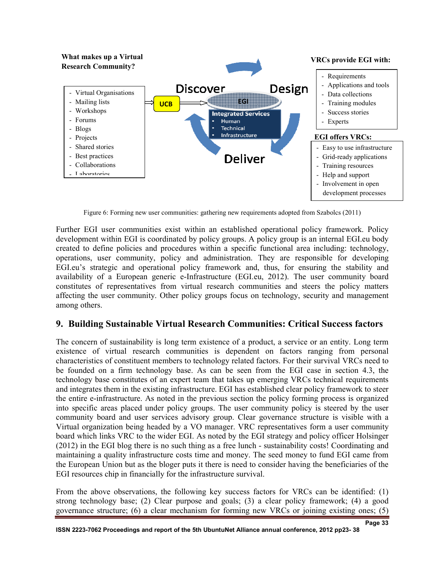

Figure 6: Forming new user communities: gathering new requirements adopted from Szabolcs (2011)

Further EGI user communities exist within an established operational policy framework. Policy development within EGI is coordinated by policy groups. A policy group is an internal EGI.eu body created to define policies and procedures within a specific functional area including: technology, operations, user community, policy and administration. They are responsible for developing EGI.eu's strategic and operational policy framework and, thus, for ensuring the stability and availability of a European generic e-Infrastructure (EGI.eu, 2012). The user community board constitutes of representatives from virtual research communities and steers the policy matters affecting the user community. Other policy groups focus on technology, security and management among others.

## **9. Building Sustainable Virtual Research Communities: Critical Success factors**

The concern of sustainability is long term existence of a product, a service or an entity. Long term existence of virtual research communities is dependent on factors ranging from personal characteristics of constituent members to technology related factors. For their survival VRCs need to be founded on a firm technology base. As can be seen from the EGI case in section 4.3, the technology base constitutes of an expert team that takes up emerging VRCs technical requirements and integrates them in the existing infrastructure. EGI has established clear policy framework to steer the entire e-infrastructure. As noted in the previous section the policy forming process is organized into specific areas placed under policy groups. The user community policy is steered by the user community board and user services advisory group. Clear governance structure is visible with a Virtual organization being headed by a VO manager. VRC representatives form a user community board which links VRC to the wider EGI. As noted by the EGI strategy and policy officer Holsinger (2012) in the EGI blog there is no such thing as a free lunch - sustainability costs! Coordinating and maintaining a quality infrastructure costs time and money. The seed money to fund EGI came from the European Union but as the bloger puts it there is need to consider having the beneficiaries of the EGI resources chip in financially for the infrastructure survival.

From the above observations, the following key success factors for VRCs can be identified: (1) strong technology base; (2) Clear purpose and goals; (3) a clear policy framework; (4) a good governance structure; (6) a clear mechanism for forming new VRCs or joining existing ones; (5)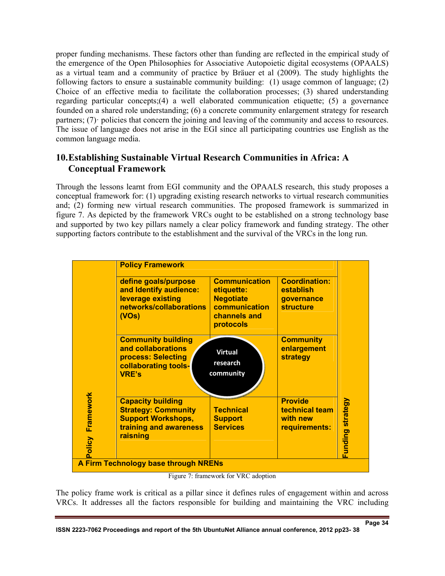proper funding mechanisms. These factors other than funding are reflected in the empirical study of the emergence of the Open Philosophies for Associative Autopoietic digital ecosystems (OPAALS) as a virtual team and a community of practice by Bräuer et al (2009). The study highlights the following factors to ensure a sustainable community building: (1) usage common of language; (2) Choice of an effective media to facilitate the collaboration processes; (3) shared understanding regarding particular concepts;(4) a well elaborated communication etiquette; (5) a governance founded on a shared role understanding; (6) a concrete community enlargement strategy for research partners; (7) policies that concern the joining and leaving of the community and access to resources. The issue of language does not arise in the EGI since all participating countries use English as the common language media.

## **10.Establishing Sustainable Virtual Research Communities in Africa: A Conceptual Framework**

Through the lessons learnt from EGI community and the OPAALS research, this study proposes a conceptual framework for: (1) upgrading existing research networks to virtual research communities and; (2) forming new virtual research communities. The proposed framework is summarized in figure 7. As depicted by the framework VRCs ought to be established on a strong technology base and supported by two key pillars namely a clear policy framework and funding strategy. The other supporting factors contribute to the establishment and the survival of the VRCs in the long run.

|                     | <b>Policy Framework</b>                                                                                                   |                                                                                                      |                                                                                   |
|---------------------|---------------------------------------------------------------------------------------------------------------------------|------------------------------------------------------------------------------------------------------|-----------------------------------------------------------------------------------|
| Framework<br>Policy | define goals/purpose<br>and Identify audience:<br>leverage existing<br>networks/collaborations<br>(VOS)                   | <b>Communication</b><br>etiquette:<br><b>Negotiate</b><br>communication<br>channels and<br>protocols | <b>Coordination:</b><br>establish<br>governance<br><b>structure</b>               |
|                     | <b>Community building</b><br>and collaborations<br>process: Selecting<br>collaborating tools-<br><b>VRE's</b>             | <b>Virtual</b><br>research<br>community                                                              | <b>Community</b><br>enlargement<br>strategy                                       |
|                     | <b>Capacity building</b><br><b>Strategy: Community</b><br><b>Support Workshops,</b><br>training and awareness<br>raisning | <b>Technical</b><br><b>Support</b><br><b>Services</b>                                                | <b>Provide</b><br>Funding strategy<br>technical team<br>with new<br>requirements: |
|                     | A Firm Technology base through NRENs                                                                                      |                                                                                                      |                                                                                   |

Figure 7: framework for VRC adoption

The policy frame work is critical as a pillar since it defines rules of engagement within and across VRCs. It addresses all the factors responsible for building and maintaining the VRC including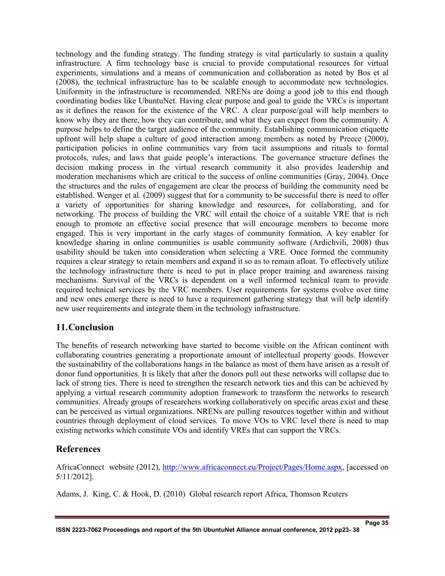technology and the funding strategy. The funding strategy is vital particularly to sustain a quality infrastructure. A firm technology base is crucial to provide computational resources for virtual experiments, simulations and a means of communication and collaboration as noted by Bos et al (2008), the technical infrastructure has to be scalable enough to accommodate new technologies. Uniformity in the infrastructure is recommended. NRENs are doing a good job to this end though coordinating bodies like UbuntuNet. Having clear purpose and goal to guide the VRCs is important as it defines the reason for the existence of the VRC. A clear purpose/goal will help members to know why they are there, how they can contribute, and what they can expect from the community. A purpose helps to define the target audience of the community. Establishing communication etiquette upfront will help shape a culture of good interaction among members as noted by Preece (2000), participation policies in online communities vary from tacit assumptions and rituals to formal protocols, rules, and laws that guide people's interactions. The governance structure defines the decision making process in the virtual research community it also provides leadership and moderation mechanisms which are critical to the success of online communities (Gray, 2004). Once the structures and the rules of engagement are clear the process of building the community need be established. Wenger et al. (2009) suggest that for a community to be successful there is need to offer a variety of opportunities for sharing knowledge and resources, for collaborating, and for networking. The process of building the VRC will entail the choice of a suitable VRE that is rich enough to promote an effective social presence that will encourage members to become more engaged. This is very important in the early stages of community formation. A key enabler for knowledge sharing in online communities is usable community software (Ardichvili, 2008) thus usability should be taken into consideration when selecting a VRE. Once formed the community requires a clear strategy to retain members and expand it so as to remain afloat. To effectively utilize the technology infrastructure there is need to put in place proper training and awareness raising mechanisms. Survival of the VRCs is dependent on a well informed technical team to provide required technical services by the VRC members. User requirements for systems evolve over time and new ones emerge there is need to have a requirement gathering strategy that will help identify new user requirements and integrate them in the technology infrastructure.

## **11.Conclusion**

The benefits of research networking have started to become visible on the African continent with collaborating countries generating a proportionate amount of intellectual property goods. However the sustainability of the collaborations hangs in the balance as most of them have arisen as a result of donor fund opportunities. It is likely that after the donors pull out these networks will collapse due to lack of strong ties. There is need to strengthen the research network ties and this can be achieved by applying a virtual research community adoption framework to transform the networks to research communities. Already groups of researchers working collaboratively on specific areas exist and these can be perceived as virtual organizations. NRENs are pulling resources together within and without countries through deployment of cloud services. To move VOs to VRC level there is need to map existing networks which constitute VOs and identify VREs that can support the VRCs.

#### **References**

AfricaConnect website (2012), http://www.africaconnect.eu/Project/Pages/Home.aspx, [accessed on 5/11/2012].

Adams, J. King, C. & Hook, D. (2010) Global research report Africa, Thomson Reuters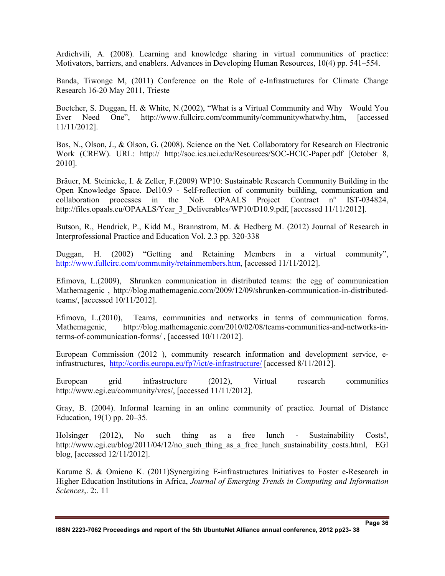Ardichvili, A. (2008). Learning and knowledge sharing in virtual communities of practice: Motivators, barriers, and enablers. Advances in Developing Human Resources, 10(4) pp. 541–554.

Banda, Tiwonge M, (2011) Conference on the Role of e-Infrastructures for Climate Change Research 16-20 May 2011, Trieste

Boetcher, S. Duggan, H. & White, N.(2002), "What is a Virtual Community and Why Would You Ever Need One", http://www.fullcirc.com/community/communitywhatwhy.htm, [accessed 11/11/2012].

Bos, N., Olson, J., & Olson, G. (2008). Science on the Net. Collaboratory for Research on Electronic Work (CREW). URL: http:// http://soc.ics.uci.edu/Resources/SOC-HCIC-Paper.pdf [October 8, 2010].

Bräuer, M. Steinicke, I. & Zeller, F.(2009) WP10: Sustainable Research Community Building in the Open Knowledge Space. Del10.9 - Self-reflection of community building, communication and collaboration processes in the NoE OPAALS Project Contract n° IST-034824, http://files.opaals.eu/OPAALS/Year 3 Deliverables/WP10/D10.9.pdf, [accessed 11/11/2012].

Butson, R., Hendrick, P., Kidd M., Brannstrom, M. & Hedberg M. (2012) Journal of Research in Interprofessional Practice and Education Vol. 2.3 pp. 320-338

Duggan, H. (2002) "Getting and Retaining Members in a virtual community", http://www.fullcirc.com/community/retainmembers.htm, [accessed 11/11/2012].

Efimova, L.(2009), Shrunken communication in distributed teams: the egg of communication Mathemagenic , http://blog.mathemagenic.com/2009/12/09/shrunken-communication-in-distributedteams/, [accessed 10/11/2012].

Efimova, L.(2010), Teams, communities and networks in terms of communication forms. Mathemagenic, http://blog.mathemagenic.com/2010/02/08/teams-communities-and-networks-interms-of-communication-forms/ , [accessed 10/11/2012].

European Commission (2012 ), community research information and development service, einfrastructures, http://cordis.europa.eu/fp7/ict/e-infrastructure/ [accessed 8/11/2012].

European grid infrastructure (2012), Virtual research communities http://www.egi.eu/community/vrcs/, [accessed 11/11/2012].

Gray, B. (2004). Informal learning in an online community of practice. Journal of Distance Education, 19(1) pp. 20–35.

Holsinger (2012), No such thing as a free lunch - Sustainability Costs!, http://www.egi.eu/blog/2011/04/12/no\_such\_thing\_as\_a\_free\_lunch\_sustainability\_costs.html, EGI blog, [accessed 12/11/2012].

Karume S. & Omieno K. (2011)Synergizing E-infrastructures Initiatives to Foster e-Research in Higher Education Institutions in Africa, *Journal of Emerging Trends in Computing and Information Sciences*,. 2:. 11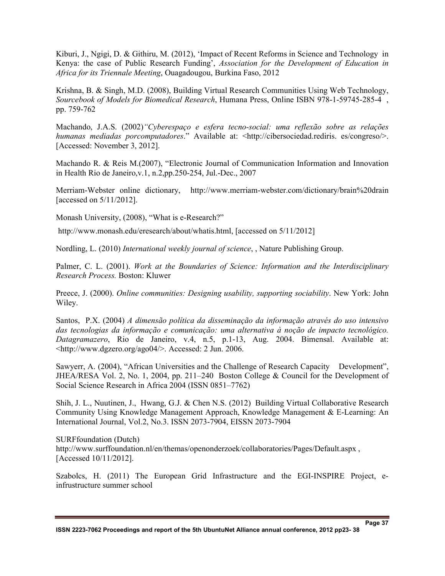Kiburi, J., Ngigi, D. & Githiru, M. (2012), 'Impact of Recent Reforms in Science and Technology in Kenya: the case of Public Research Funding', *Association for the Development of Education in Africa for its Triennale Meeting*, Ouagadougou, Burkina Faso, 2012

Krishna, B. & Singh, M.D. (2008), Building Virtual Research Communities Using Web Technology, *Sourcebook of Models for Biomedical Research*, Humana Press, Online ISBN 978-1-59745-285-4 , pp. 759-762

Machando, J.A.S. (2002)*"Cyberespaço e esfera tecno-social: uma reflexão sobre as relações humanas mediadas porcomputadores.*" Available at: <http://cibersociedad.rediris. es/congreso/>. [Accessed: November 3, 2012].

Machando R. & Reis M.(2007), "Electronic Journal of Communication Information and Innovation in Health Rio de Janeiro,v.1, n.2,pp.250-254, Jul.-Dec., 2007

Merriam-Webster online dictionary, http://www.merriam-webster.com/dictionary/brain%20drain [accessed on 5/11/2012].

Monash University, (2008), "What is e-Research?"

http://www.monash.edu/eresearch/about/whatis.html, [accessed on 5/11/2012]

Nordling, L. (2010) *International weekly journal of science*, , Nature Publishing Group.

Palmer, C. L. (2001). *Work at the Boundaries of Science: Information and the Interdisciplinary Research Process.* Boston: Kluwer

Preece, J. (2000). *Online communities: Designing usability, supporting sociability*. New York: John Wiley.

Santos, P.X. (2004) *A dimensão política da disseminação da informação através do uso intensivo das tecnologias da informação e comunicação: uma alternativa à noção de impacto tecnológico. Datagramazero*, Rio de Janeiro, v.4, n.5, p.1-13, Aug. 2004. Bimensal. Available at: <http://www.dgzero.org/ago04/>. Accessed: 2 Jun. 2006.

Sawyerr, A. (2004), "African Universities and the Challenge of Research Capacity Development", JHEA/RESA Vol. 2, No. 1, 2004, pp. 211–240 Boston College & Council for the Development of Social Science Research in Africa 2004 (ISSN 0851–7762)

Shih, J. L., Nuutinen, J., Hwang, G.J. & Chen N.S. (2012) Building Virtual Collaborative Research Community Using Knowledge Management Approach, Knowledge Management & E-Learning: An International Journal, Vol.2, No.3. ISSN 2073-7904, EISSN 2073-7904

SURFfoundation (Dutch) http://www.surffoundation.nl/en/themas/openonderzoek/collaboratories/Pages/Default.aspx , [Accessed 10/11/2012].

Szabolcs, H. (2011) The European Grid Infrastructure and the EGI-INSPIRE Project, einfrustructure summer school